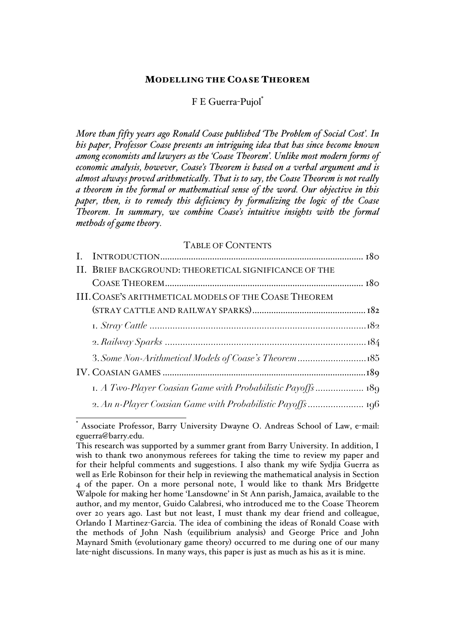#### MODELLING THE COASE THEOREM

#### F E Guerra-Pujol\*

*More than fifty years ago Ronald Coase published 'The Problem of Social Cost'. In his paper, Professor Coase presents an intriguing idea that has since become known among economists and lawyers as the 'Coase Theorem'. Unlike most modern forms of economic analysis, however, Coase's Theorem is based on a verbal argument and is almost always proved arithmetically. That is to say, the Coase Theorem is not really a theorem in the formal or mathematical sense of the word. Our objective in this paper, then, is to remedy this deficiency by formalizing the logic of the Coase Theorem. In summary, we combine Coase's intuitive insights with the formal methods of game theory.*

#### TABLE OF CONTENTS

| II. BRIEF BACKGROUND: THEORETICAL SIGNIFICANCE OF THE |  |
|-------------------------------------------------------|--|
|                                                       |  |
| III. COASE'S ARITHMETICAL MODELS OF THE COASE THEOREM |  |
|                                                       |  |
|                                                       |  |
|                                                       |  |
|                                                       |  |
|                                                       |  |
|                                                       |  |
|                                                       |  |

Associate Professor, Barry University Dwayne O. Andreas School of Law, e-mail: eguerra@barry.edu.

This research was supported by a summer grant from Barry University. In addition, I wish to thank two anonymous referees for taking the time to review my paper and for their helpful comments and suggestions. I also thank my wife Sydjia Guerra as well as Erle Robinson for their help in reviewing the mathematical analysis in Section 4 of the paper. On a more personal note, I would like to thank Mrs Bridgette Walpole for making her home 'Lansdowne' in St Ann parish, Jamaica, available to the author, and my mentor, Guido Calabresi, who introduced me to the Coase Theorem over 20 years ago. Last but not least, I must thank my dear friend and colleague, Orlando I Martinez-Garcia. The idea of combining the ideas of Ronald Coase with the methods of John Nash (equilibrium analysis) and George Price and John Maynard Smith (evolutionary game theory) occurred to me during one of our many late-night discussions. In many ways, this paper is just as much as his as it is mine.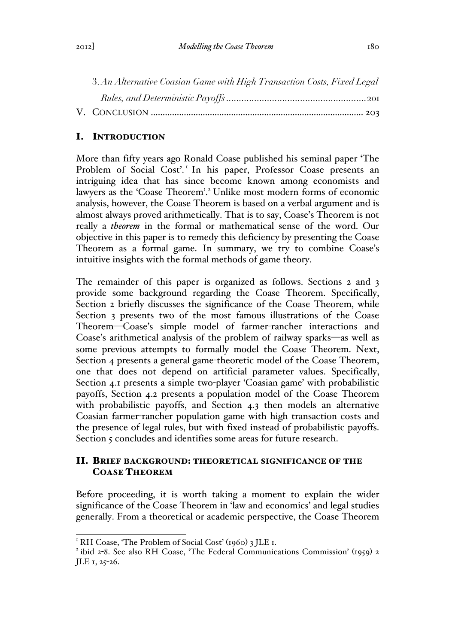| 3. An Alternative Coasian Game with High Transaction Costs, Fixed Legal |  |
|-------------------------------------------------------------------------|--|
|                                                                         |  |
|                                                                         |  |

# I. INTRODUCTION

More than fifty years ago Ronald Coase published his seminal paper 'The Problem of Social Cost'.<sup>1</sup> In his paper, Professor Coase presents an intriguing idea that has since become known among economists and lawyers as the 'Coase Theorem'.<sup>2</sup> Unlike most modern forms of economic analysis, however, the Coase Theorem is based on a verbal argument and is almost always proved arithmetically. That is to say, Coase's Theorem is not really a *theorem* in the formal or mathematical sense of the word. Our objective in this paper is to remedy this deficiency by presenting the Coase Theorem as a formal game. In summary, we try to combine Coase's intuitive insights with the formal methods of game theory.

The remainder of this paper is organized as follows. Sections 2 and 3 provide some background regarding the Coase Theorem. Specifically, Section 2 briefly discusses the significance of the Coase Theorem, while Section 3 presents two of the most famous illustrations of the Coase Theorem—Coase's simple model of farmer-rancher interactions and Coase's arithmetical analysis of the problem of railway sparks—as well as some previous attempts to formally model the Coase Theorem. Next, Section 4 presents a general game-theoretic model of the Coase Theorem, one that does not depend on artificial parameter values. Specifically, Section 4.1 presents a simple two-player 'Coasian game' with probabilistic payoffs, Section 4.2 presents a population model of the Coase Theorem with probabilistic payoffs, and Section 4.3 then models an alternative Coasian farmer-rancher population game with high transaction costs and the presence of legal rules, but with fixed instead of probabilistic payoffs. Section 5 concludes and identifies some areas for future research.

# II. BRIEF BACKGROUND: THEORETICAL SIGNIFICANCE OF THE COASE THEOREM

Before proceeding, it is worth taking a moment to explain the wider significance of the Coase Theorem in 'law and economics' and legal studies generally. From a theoretical or academic perspective, the Coase Theorem

<sup>&</sup>lt;sup>1</sup> RH Coase, 'The Problem of Social Cost' (1960) 3 JLE 1.<br><sup>2</sup> ibid 2-8. See also RH Coase, 'The Federal Communications Commission' (1959) 2 JLE 1, 25-26.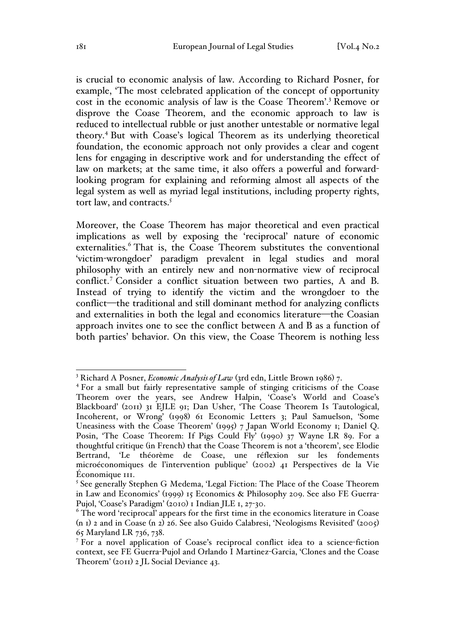is crucial to economic analysis of law. According to Richard Posner, for example, 'The most celebrated application of the concept of opportunity cost in the economic analysis of law is the Coase Theorem'.<sup>3</sup> Remove or disprove the Coase Theorem, and the economic approach to law is reduced to intellectual rubble or just another untestable or normative legal theory.<sup>4</sup> But with Coase's logical Theorem as its underlying theoretical foundation, the economic approach not only provides a clear and cogent lens for engaging in descriptive work and for understanding the effect of law on markets; at the same time, it also offers a powerful and forwardlooking program for explaining and reforming almost all aspects of the legal system as well as myriad legal institutions, including property rights, tort law, and contracts.<sup>5</sup>

Moreover, the Coase Theorem has major theoretical and even practical implications as well by exposing the 'reciprocal' nature of economic externalities.<sup>6</sup> That is, the Coase Theorem substitutes the conventional 'victim-wrongdoer' paradigm prevalent in legal studies and moral philosophy with an entirely new and non-normative view of reciprocal conflict.<sup>7</sup> Consider a conflict situation between two parties, A and B. Instead of trying to identify the victim and the wrongdoer to the conflict—the traditional and still dominant method for analyzing conflicts and externalities in both the legal and economics literature—the Coasian approach invites one to see the conflict between A and B as a function of both parties' behavior. On this view, the Coase Theorem is nothing less

<sup>&</sup>lt;sup>3</sup> Richard A Posner, *Economic Analysis of Law* (3rd edn, Little Brown 1986) 7.

<sup>4</sup> For a small but fairly representative sample of stinging criticisms of the Coase Theorem over the years, see Andrew Halpin, 'Coase's World and Coase's Blackboard' (2011) 31 EJLE 91; Dan Usher, 'The Coase Theorem Is Tautological, Incoherent, or Wrong' (1998) 61 Economic Letters 3; Paul Samuelson, 'Some Uneasiness with the Coase Theorem' (1995) 7 Japan World Economy 1; Daniel Q. Posin, 'The Coase Theorem: If Pigs Could Fly' (1990) 37 Wayne LR 89. For a thoughtful critique (in French) that the Coase Theorem is not a 'theorem', see Elodie Bertrand, 'Le théorème de Coase, une réflexion sur les fondements microéconomiques de l'intervention publique' (2002) 41 Perspectives de la Vie Économique 111.

<sup>&</sup>lt;sup>5</sup> See generally Stephen G Medema, 'Legal Fiction: The Place of the Coase Theorem in Law and Economics' (1999) 15 Economics & Philosophy 209. See also FE Guerra-Pujol, 'Coase's Paradigm' (2010) 1 Indian JLE 1, 27-30.

<sup>&</sup>lt;sup>6</sup> The word 'reciprocal' appears for the first time in the economics literature in Coase (n 1) 2 and in Coase (n 2) 26. See also Guido Calabresi, 'Neologisms Revisited' (2005) 65 Maryland LR 736, 738.

<sup>7</sup> For a novel application of Coase's reciprocal conflict idea to a science-fiction context, see FE Guerra-Pujol and Orlando I Martinez-Garcia, 'Clones and the Coase Theorem' (2011) 2 JL Social Deviance 43.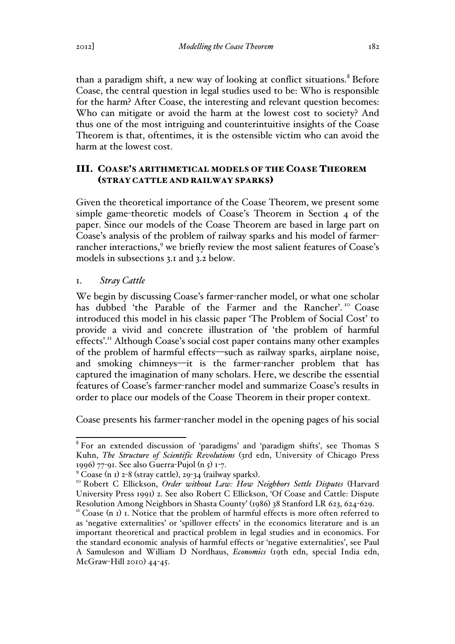than a paradigm shift, a new way of looking at conflict situations.<sup>8</sup> Before Coase, the central question in legal studies used to be: Who is responsible for the harm? After Coase, the interesting and relevant question becomes: Who can mitigate or avoid the harm at the lowest cost to society? And thus one of the most intriguing and counterintuitive insights of the Coase Theorem is that, oftentimes, it is the ostensible victim who can avoid the harm at the lowest cost.

## III. COASE'S ARITHMETICAL MODELS OF THE COASE THEOREM (STRAY CATTLE AND RAILWAY SPARKS)

Given the theoretical importance of the Coase Theorem, we present some simple game-theoretic models of Coase's Theorem in Section 4 of the paper. Since our models of the Coase Theorem are based in large part on Coase's analysis of the problem of railway sparks and his model of farmerrancher interactions,<sup>9</sup> we briefly review the most salient features of Coase's models in subsections 3.1 and 3.2 below.

## 1. *Stray Cattle*

We begin by discussing Coase's farmer-rancher model, or what one scholar has dubbed 'the Parable of the Farmer and the Rancher'.<sup>10</sup> Coase introduced this model in his classic paper 'The Problem of Social Cost' to provide a vivid and concrete illustration of 'the problem of harmful effects'.<sup>11</sup> Although Coase's social cost paper contains many other examples of the problem of harmful effects—such as railway sparks, airplane noise, and smoking chimneys—it is the farmer-rancher problem that has captured the imagination of many scholars. Here, we describe the essential features of Coase's farmer-rancher model and summarize Coase's results in order to place our models of the Coase Theorem in their proper context.

Coase presents his farmer-rancher model in the opening pages of his social

 <sup>8</sup> For an extended discussion of 'paradigms' and 'paradigm shifts', see Thomas S Kuhn, *The Structure of Scientific Revolutions* (3rd edn, University of Chicago Press 1996) 77-91. See also Guerra-Pujol (n 5) 1-7.

<sup>9</sup> Coase (n 1) 2-8 (stray cattle), 29-34 (railway sparks). <sup>10</sup> Robert C Ellickson, *Order without Law: How Neighbors Settle Disputes* (Harvard University Press 1991) 2. See also Robert C Ellickson, 'Of Coase and Cattle: Dispute

Resolution Among Neighbors in Shasta County' (1986) 38 Stanford LR 623, 624-629.<br><sup>11</sup> Coase (n 1) 1. Notice that the problem of harmful effects is more often referred to as 'negative externalities' or 'spillover effects' in the economics literature and is an important theoretical and practical problem in legal studies and in economics. For the standard economic analysis of harmful effects or 'negative externalities', see Paul A Samuleson and William D Nordhaus, *Economics* (19th edn, special India edn, McGraw-Hill 2010) 44-45.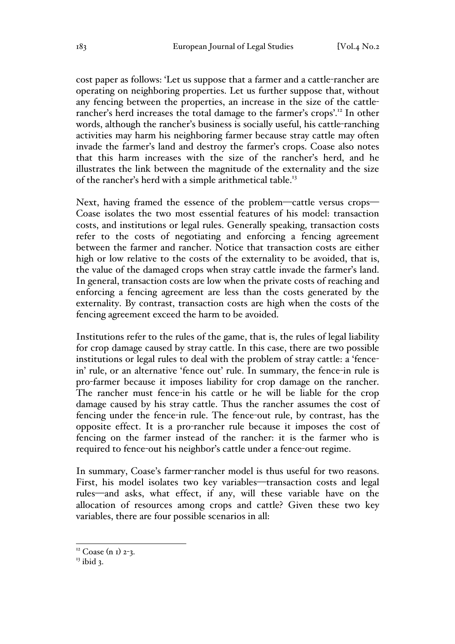cost paper as follows: 'Let us suppose that a farmer and a cattle-rancher are operating on neighboring properties. Let us further suppose that, without any fencing between the properties, an increase in the size of the cattlerancher's herd increases the total damage to the farmer's crops'.12 In other words, although the rancher's business is socially useful, his cattle-ranching activities may harm his neighboring farmer because stray cattle may often invade the farmer's land and destroy the farmer's crops. Coase also notes that this harm increases with the size of the rancher's herd, and he illustrates the link between the magnitude of the externality and the size of the rancher's herd with a simple arithmetical table.<sup>13</sup>

Next, having framed the essence of the problem—cattle versus crops— Coase isolates the two most essential features of his model: transaction costs, and institutions or legal rules. Generally speaking, transaction costs refer to the costs of negotiating and enforcing a fencing agreement between the farmer and rancher. Notice that transaction costs are either high or low relative to the costs of the externality to be avoided, that is, the value of the damaged crops when stray cattle invade the farmer's land. In general, transaction costs are low when the private costs of reaching and enforcing a fencing agreement are less than the costs generated by the externality. By contrast, transaction costs are high when the costs of the fencing agreement exceed the harm to be avoided.

Institutions refer to the rules of the game, that is, the rules of legal liability for crop damage caused by stray cattle. In this case, there are two possible institutions or legal rules to deal with the problem of stray cattle: a 'fencein' rule, or an alternative 'fence out' rule. In summary, the fence-in rule is pro-farmer because it imposes liability for crop damage on the rancher. The rancher must fence-in his cattle or he will be liable for the crop damage caused by his stray cattle. Thus the rancher assumes the cost of fencing under the fence-in rule. The fence-out rule, by contrast, has the opposite effect. It is a pro-rancher rule because it imposes the cost of fencing on the farmer instead of the rancher: it is the farmer who is required to fence-out his neighbor's cattle under a fence-out regime.

In summary, Coase's farmer-rancher model is thus useful for two reasons. First, his model isolates two key variables—transaction costs and legal rules—and asks, what effect, if any, will these variable have on the allocation of resources among crops and cattle? Given these two key variables, there are four possible scenarios in all:

 $12$  Coase (n I) 2-3.

 $13$  ibid 3.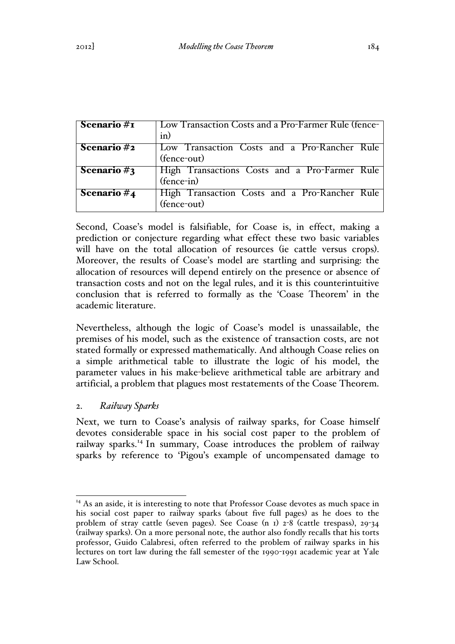| Scenario #1    | Low Transaction Costs and a Pro-Farmer Rule (fence-          |
|----------------|--------------------------------------------------------------|
|                | in)                                                          |
| Scenario#2     | Low Transaction Costs and a Pro-Rancher Rule<br>(fence-out)  |
| Scenario $#_3$ | High Transactions Costs and a Pro-Farmer Rule<br>(fence-in)  |
| Scenario $#_4$ | High Transaction Costs and a Pro-Rancher Rule<br>(fence-out) |

Second, Coase's model is falsifiable, for Coase is, in effect, making a prediction or conjecture regarding what effect these two basic variables will have on the total allocation of resources (ie cattle versus crops). Moreover, the results of Coase's model are startling and surprising: the allocation of resources will depend entirely on the presence or absence of transaction costs and not on the legal rules, and it is this counterintuitive conclusion that is referred to formally as the 'Coase Theorem' in the academic literature.

Nevertheless, although the logic of Coase's model is unassailable, the premises of his model, such as the existence of transaction costs, are not stated formally or expressed mathematically. And although Coase relies on a simple arithmetical table to illustrate the logic of his model, the parameter values in his make-believe arithmetical table are arbitrary and artificial, a problem that plagues most restatements of the Coase Theorem.

# 2. *Railway Sparks*

Next, we turn to Coase's analysis of railway sparks, for Coase himself devotes considerable space in his social cost paper to the problem of railway sparks.<sup>14</sup> In summary, Coase introduces the problem of railway sparks by reference to 'Pigou's example of uncompensated damage to

 $14$  As an aside, it is interesting to note that Professor Coase devotes as much space in his social cost paper to railway sparks (about five full pages) as he does to the problem of stray cattle (seven pages). See Coase (n 1) 2-8 (cattle trespass), 29-34 (railway sparks). On a more personal note, the author also fondly recalls that his torts professor, Guido Calabresi, often referred to the problem of railway sparks in his lectures on tort law during the fall semester of the 1990-1991 academic year at Yale Law School.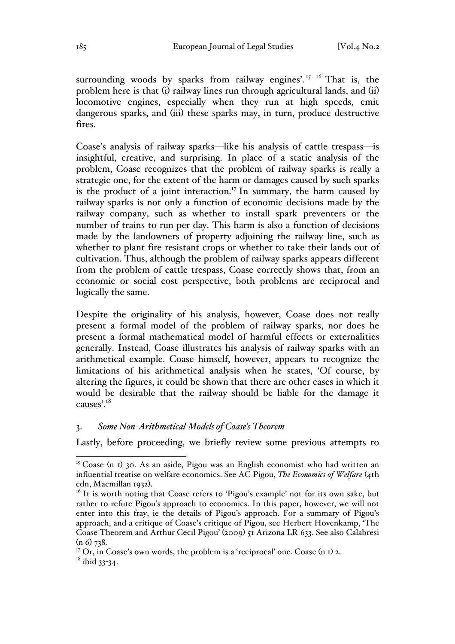surrounding woods by sparks from railway engines'.<sup>15 16</sup> That is, the problem here is that (i) railway lines run through agricultural lands, and (ii) locomotive engines, especially when they run at high speeds, emit dangerous sparks, and (iii) these sparks may, in turn, produce destructive fires.

Coase's analysis of railway sparks—like his analysis of cattle trespass—is insightful, creative, and surprising. In place of a static analysis of the problem, Coase recognizes that the problem of railway sparks is really a strategic one, for the extent of the harm or damages caused by such sparks is the product of a joint interaction.<sup>17</sup> In summary, the harm caused by railway sparks is not only a function of economic decisions made by the railway company, such as whether to install spark preventers or the number of trains to run per day. This harm is also a function of decisions made by the landowners of property adjoining the railway line, such as whether to plant fire-resistant crops or whether to take their lands out of cultivation. Thus, although the problem of railway sparks appears different from the problem of cattle trespass, Coase correctly shows that, from an economic or social cost perspective, both problems are reciprocal and logically the same.

Despite the originality of his analysis, however, Coase does not really present a formal model of the problem of railway sparks, nor does he present a formal mathematical model of harmful effects or externalities generally. Instead, Coase illustrates his analysis of railway sparks with an arithmetical example. Coase himself, however, appears to recognize the limitations of his arithmetical analysis when he states, 'Of course, by altering the figures, it could be shown that there are other cases in which it would be desirable that the railway should be liable for the damage it causes'.18

### 3. *Some Non-Arithmetical Models of Coase's Theorem*

Lastly, before proceeding, we briefly review some previous attempts to

 $18$  ibid 33-34.

 $15$  Coase (n I) 30. As an aside, Pigou was an English economist who had written an influential treatise on welfare economics. See AC Pigou, *The Economics of Welfare* (4th

edn, Macmillan 1932).<br><sup>16</sup> It is worth noting that Coase refers to 'Pigou's example' not for its own sake, but rather to refute Pigou's approach to economics. In this paper, however, we will not enter into this fray, ie the details of Pigou's approach. For a summary of Pigou's approach, and a critique of Coase's critique of Pigou, see Herbert Hovenkamp, 'The Coase Theorem and Arthur Cecil Pigou' (2009) 51 Arizona LR 633. See also Calabresi  $(n 6)$  738.

 $17$  Or, in Coase's own words, the problem is a 'reciprocal' one. Coase (n I) 2.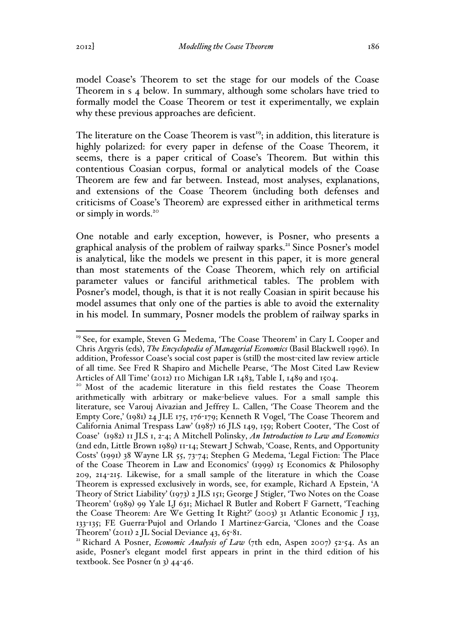model Coase's Theorem to set the stage for our models of the Coase Theorem in s 4 below. In summary, although some scholars have tried to formally model the Coase Theorem or test it experimentally, we explain why these previous approaches are deficient.

The literature on the Coase Theorem is vast<sup>19</sup>; in addition, this literature is highly polarized: for every paper in defense of the Coase Theorem, it seems, there is a paper critical of Coase's Theorem. But within this contentious Coasian corpus, formal or analytical models of the Coase Theorem are few and far between. Instead, most analyses, explanations, and extensions of the Coase Theorem (including both defenses and criticisms of Coase's Theorem) are expressed either in arithmetical terms or simply in words.<sup>20</sup>

One notable and early exception, however, is Posner, who presents a graphical analysis of the problem of railway sparks.<sup>21</sup> Since Posner's model is analytical, like the models we present in this paper, it is more general than most statements of the Coase Theorem, which rely on artificial parameter values or fanciful arithmetical tables. The problem with Posner's model, though, is that it is not really Coasian in spirit because his model assumes that only one of the parties is able to avoid the externality in his model. In summary, Posner models the problem of railway sparks in

<sup>&</sup>lt;sup>19</sup> See, for example, Steven G Medema, 'The Coase Theorem' in Cary L Cooper and Chris Argyris (eds), *The Encyclopedia of Managerial Economics* (Basil Blackwell 1996). In addition, Professor Coase's social cost paper is (still) the most-cited law review article of all time. See Fred R Shapiro and Michelle Pearse, 'The Most Cited Law Review Articles of All Time' (2012) 110 Michigan LR 1483, Table I, 1489 and 1504.<br><sup>20</sup> Most of the academic literature in this field restates the Coase Theorem

arithmetically with arbitrary or make-believe values. For a small sample this literature, see Varouj Aivazian and Jeffrey L. Callen, 'The Coase Theorem and the Empty Core,' (1981) 24 JLE 175, 176-179; Kenneth R Vogel, 'The Coase Theorem and California Animal Trespass Law' (1987) 16 JLS 149, 159; Robert Cooter, 'The Cost of Coase' (1982) 11 JLS 1, 2-4; A Mitchell Polinsky, *An Introduction to Law and Economics* (2nd edn, Little Brown 1989) 11-14; Stewart J Schwab, 'Coase, Rents, and Opportunity Costs' (1991) 38 Wayne LR 55, 73-74; Stephen G Medema, 'Legal Fiction: The Place of the Coase Theorem in Law and Economics' (1999) 15 Economics & Philosophy 209, 214-215. Likewise, for a small sample of the literature in which the Coase Theorem is expressed exclusively in words, see, for example, Richard A Epstein, 'A Theory of Strict Liability' (1973) 2 JLS 151; George J Stigler, 'Two Notes on the Coase Theorem' (1989) 99 Yale LJ 631; Michael R Butler and Robert F Garnett, 'Teaching the Coase Theorem: Are We Getting It Right?' (2003) 31 Atlantic Economic J 133, 133-135; FE Guerra-Pujol and Orlando I Martinez-Garcia, 'Clones and the Coase

Theorem' (2011) 2 JL Social Deviance 43, 65<sup>-8</sup>1.<br><sup>21</sup> Richard A Posner, *Economic Analysis of Law* (7th edn, Aspen 2007) 52-54. As an aside, Posner's elegant model first appears in print in the third edition of his textbook. See Posner  $(n_3)$  44-46.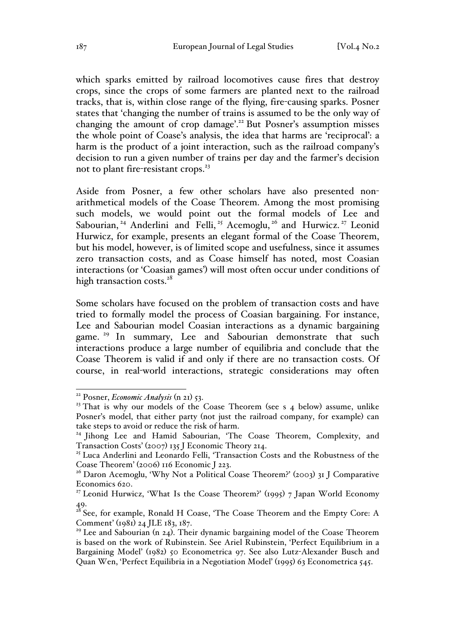which sparks emitted by railroad locomotives cause fires that destroy crops, since the crops of some farmers are planted next to the railroad tracks, that is, within close range of the flying, fire-causing sparks. Posner states that 'changing the number of trains is assumed to be the only way of changing the amount of crop damage'.<sup>22</sup> But Posner's assumption misses the whole point of Coase's analysis, the idea that harms are 'reciprocal': a harm is the product of a joint interaction, such as the railroad company's decision to run a given number of trains per day and the farmer's decision not to plant fire-resistant crops.<sup>23</sup>

Aside from Posner, a few other scholars have also presented nonarithmetical models of the Coase Theorem. Among the most promising such models, we would point out the formal models of Lee and Sabourian,<sup>24</sup> Anderlini and Felli,<sup>25</sup> Acemoglu,<sup>26</sup> and Hurwicz.<sup>27</sup> Leonid Hurwicz, for example, presents an elegant formal of the Coase Theorem, but his model, however, is of limited scope and usefulness, since it assumes zero transaction costs, and as Coase himself has noted, most Coasian interactions (or 'Coasian games') will most often occur under conditions of high transaction costs.<sup>28</sup>

Some scholars have focused on the problem of transaction costs and have tried to formally model the process of Coasian bargaining. For instance, Lee and Sabourian model Coasian interactions as a dynamic bargaining game.<sup>29</sup> In summary, Lee and Sabourian demonstrate that such interactions produce a large number of equilibria and conclude that the Coase Theorem is valid if and only if there are no transaction costs. Of course, in real-world interactions, strategic considerations may often

 <sup>22</sup> Posner, *Economic Analysis* (n 21) 53.

 $23$  That is why our models of the Coase Theorem (see s 4 below) assume, unlike Posner's model, that either party (not just the railroad company, for example) can take steps to avoid or reduce the risk of harm.

<sup>&</sup>lt;sup>24</sup> Jihong Lee and Hamid Sabourian, 'The Coase Theorem, Complexity, and Transaction Costs' (2007) 135 J Economic Theory 214.

<sup>&</sup>lt;sup>25</sup> Luca Anderlini and Leonardo Felli, 'Transaction Costs and the Robustness of the Coase Theorem' (2006) 116 Economic J 223.

<sup>&</sup>lt;sup>26</sup> Daron Acemoglu, 'Why Not a Political Coase Theorem?' (2003) 31 J Comparative Economics 620.

<sup>&</sup>lt;sup>27</sup> Leonid Hurwicz, 'What Is the Coase Theorem?' (1995) 7 Japan World Economy 49.

 $^{28}$  See, for example, Ronald H Coase, 'The Coase Theorem and the Empty Core: A Comment' (1981) 24 JLE 183, 187.

 $29$  Lee and Sabourian (n 24). Their dynamic bargaining model of the Coase Theorem is based on the work of Rubinstein. See Ariel Rubinstein, 'Perfect Equilibrium in a Bargaining Model' (1982) 50 Econometrica 97. See also Lutz-Alexander Busch and Quan Wen, 'Perfect Equilibria in a Negotiation Model' (1995) 63 Econometrica 545.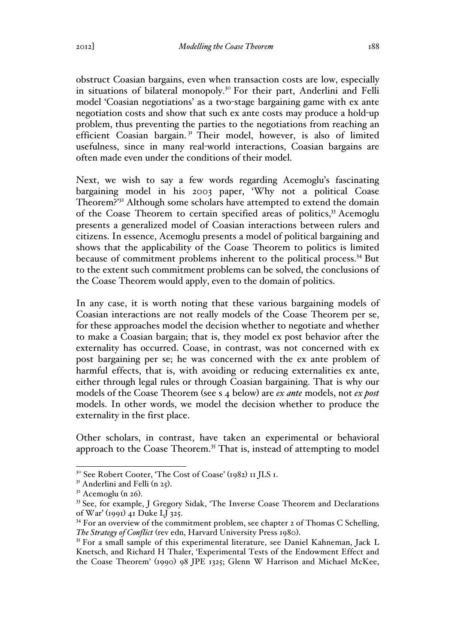obstruct Coasian bargains, even when transaction costs are low, especially in situations of bilateral monopoly.<sup>30</sup> For their part, Anderlini and Felli model 'Coasian negotiations' as a two-stage bargaining game with ex ante negotiation costs and show that such ex ante costs may produce a hold-up problem, thus preventing the parties to the negotiations from reaching an efficient Coasian bargain.<sup>31</sup> Their model, however, is also of limited usefulness, since in many real-world interactions, Coasian bargains are often made even under the conditions of their model.

Next, we wish to say a few words regarding Acemoglu's fascinating bargaining model in his 2003 paper, 'Why not a political Coase Theorem?<sup>32</sup> Although some scholars have attempted to extend the domain of the Coase Theorem to certain specified areas of politics,<sup>33</sup> Acemoglu presents a generalized model of Coasian interactions between rulers and citizens. In essence, Acemoglu presents a model of political bargaining and shows that the applicability of the Coase Theorem to politics is limited because of commitment problems inherent to the political process.34 But to the extent such commitment problems can be solved, the conclusions of the Coase Theorem would apply, even to the domain of politics.

In any case, it is worth noting that these various bargaining models of Coasian interactions are not really models of the Coase Theorem per se, for these approaches model the decision whether to negotiate and whether to make a Coasian bargain; that is, they model ex post behavior after the externality has occurred. Coase, in contrast, was not concerned with ex post bargaining per se; he was concerned with the ex ante problem of harmful effects, that is, with avoiding or reducing externalities ex ante, either through legal rules or through Coasian bargaining. That is why our models of the Coase Theorem (see s 4 below) are *ex ante* models, not *ex post* models. In other words, we model the decision whether to produce the externality in the first place.

Other scholars, in contrast, have taken an experimental or behavioral approach to the Coase Theorem.<sup>35</sup> That is, instead of attempting to model

<sup>&</sup>lt;sup>30</sup> See Robert Cooter, 'The Cost of Coase' (1982) 11 JLS 1.<br><sup>31</sup> Anderlini and Felli (n 25).

 $32$  Acemoglu (n 26).<br><sup>33</sup> See, for example, J Gregory Sidak, 'The Inverse Coase Theorem and Declarations of War' (1991) 41 Duke LJ 325.

 $34$  For an overview of the commitment problem, see chapter 2 of Thomas C Schelling, *The Strategy of Conflict* (rev edn, Harvard University Press 1980).<br><sup>35</sup> For a small sample of this experimental literature, see Daniel Kahneman, Jack L

Knetsch, and Richard H Thaler, 'Experimental Tests of the Endowment Effect and the Coase Theorem' (1990) 98 JPE 1325; Glenn W Harrison and Michael McKee,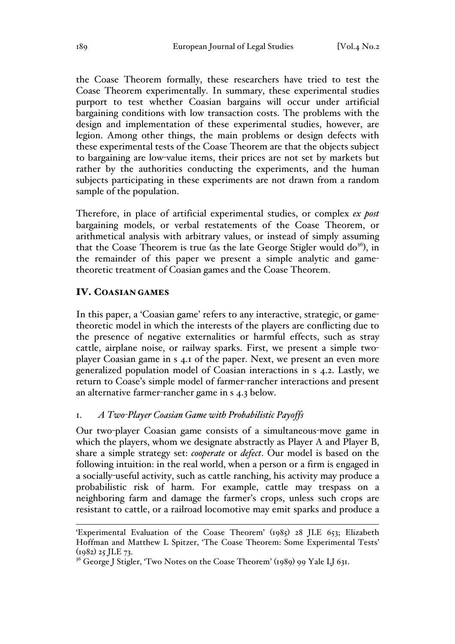the Coase Theorem formally, these researchers have tried to test the Coase Theorem experimentally. In summary, these experimental studies purport to test whether Coasian bargains will occur under artificial bargaining conditions with low transaction costs. The problems with the design and implementation of these experimental studies, however, are legion. Among other things, the main problems or design defects with these experimental tests of the Coase Theorem are that the objects subject to bargaining are low-value items, their prices are not set by markets but rather by the authorities conducting the experiments, and the human subjects participating in these experiments are not drawn from a random sample of the population.

Therefore, in place of artificial experimental studies, or complex *ex post* bargaining models, or verbal restatements of the Coase Theorem, or arithmetical analysis with arbitrary values, or instead of simply assuming that the Coase Theorem is true (as the late George Stigler would  $do<sup>36</sup>$ ), in the remainder of this paper we present a simple analytic and gametheoretic treatment of Coasian games and the Coase Theorem.

#### IV. COASIAN GAMES

In this paper, a 'Coasian game' refers to any interactive, strategic, or gametheoretic model in which the interests of the players are conflicting due to the presence of negative externalities or harmful effects, such as stray cattle, airplane noise, or railway sparks. First, we present a simple twoplayer Coasian game in s 4.1 of the paper. Next, we present an even more generalized population model of Coasian interactions in s 4.2. Lastly, we return to Coase's simple model of farmer-rancher interactions and present an alternative farmer-rancher game in s 4.3 below.

### 1. *A Two-Player Coasian Game with Probabilistic Payoffs*

Our two-player Coasian game consists of a simultaneous-move game in which the players, whom we designate abstractly as Player A and Player B, share a simple strategy set: *cooperate* or *defect*. Our model is based on the following intuition: in the real world, when a person or a firm is engaged in a socially-useful activity, such as cattle ranching, his activity may produce a probabilistic risk of harm. For example, cattle may trespass on a neighboring farm and damage the farmer's crops, unless such crops are resistant to cattle, or a railroad locomotive may emit sparks and produce a

<sup>&#</sup>x27;Experimental Evaluation of the Coase Theorem' (1985) 28 JLE 653; Elizabeth Hoffman and Matthew L Spitzer, 'The Coase Theorem: Some Experimental Tests'  $(1982)$  25 JLE 73.

<sup>&</sup>lt;sup>36</sup> George J Stigler, 'Two Notes on the Coase Theorem' (1989) 99 Yale LJ 631.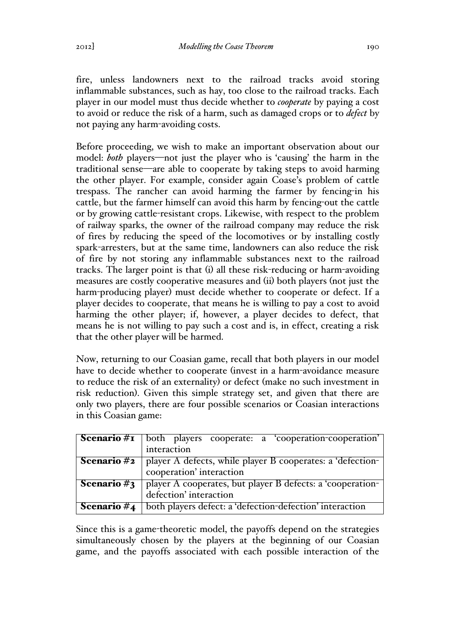fire, unless landowners next to the railroad tracks avoid storing inflammable substances, such as hay, too close to the railroad tracks. Each player in our model must thus decide whether to *cooperate* by paying a cost to avoid or reduce the risk of a harm, such as damaged crops or to *defect* by not paying any harm-avoiding costs.

Before proceeding, we wish to make an important observation about our model: *both* players—not just the player who is 'causing' the harm in the traditional sense—are able to cooperate by taking steps to avoid harming the other player. For example, consider again Coase's problem of cattle trespass. The rancher can avoid harming the farmer by fencing-in his cattle, but the farmer himself can avoid this harm by fencing-out the cattle or by growing cattle-resistant crops. Likewise, with respect to the problem of railway sparks, the owner of the railroad company may reduce the risk of fires by reducing the speed of the locomotives or by installing costly spark-arresters, but at the same time, landowners can also reduce the risk of fire by not storing any inflammable substances next to the railroad tracks. The larger point is that (i) all these risk-reducing or harm-avoiding measures are costly cooperative measures and (ii) both players (not just the harm-producing player) must decide whether to cooperate or defect. If a player decides to cooperate, that means he is willing to pay a cost to avoid harming the other player; if, however, a player decides to defect, that means he is not willing to pay such a cost and is, in effect, creating a risk that the other player will be harmed.

Now, returning to our Coasian game, recall that both players in our model have to decide whether to cooperate (invest in a harm-avoidance measure to reduce the risk of an externality) or defect (make no such investment in risk reduction). Given this simple strategy set, and given that there are only two players, there are four possible scenarios or Coasian interactions in this Coasian game:

| Scenario $\#$ I | $\vert$ both players cooperate: $\overline{a}$ cooperation-cooperation'                    |  |  |  |  |  |  |  |  |
|-----------------|--------------------------------------------------------------------------------------------|--|--|--|--|--|--|--|--|
|                 | interaction                                                                                |  |  |  |  |  |  |  |  |
|                 | <b>Scenario #2</b>   player A defects, while player B cooperates: a 'defection-            |  |  |  |  |  |  |  |  |
|                 | cooperation' interaction                                                                   |  |  |  |  |  |  |  |  |
|                 | <b>Scenario</b> $\#$ <b>3</b>   player A cooperates, but player B defects: a 'cooperation- |  |  |  |  |  |  |  |  |
|                 | defection' interaction                                                                     |  |  |  |  |  |  |  |  |
| Scenario $#4$   | both players defect: a 'defection-defection' interaction                                   |  |  |  |  |  |  |  |  |

Since this is a game-theoretic model, the payoffs depend on the strategies simultaneously chosen by the players at the beginning of our Coasian game, and the payoffs associated with each possible interaction of the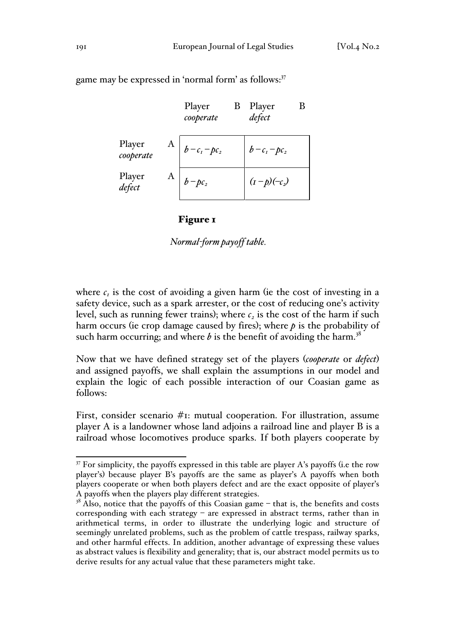Player *cooperate* Player B *defect* Player A *cooperate*  $b - c_1 - pc_2$   $b - c_1 - pc_2$ Player A *defect*  $\begin{vmatrix} b-pc_2 \\ d\end{vmatrix}$   $(\text{I}-\text{p})(-c_2)$ 

game may be expressed in 'normal form' as follows:<sup>37</sup>

#### Figure 1

 *Normal-form payoff table.* 

where  $c<sub>i</sub>$  is the cost of avoiding a given harm (ie the cost of investing in a safety device, such as a spark arrester, or the cost of reducing one's activity level, such as running fewer trains); where  $c<sub>2</sub>$  is the cost of the harm if such harm occurs (ie crop damage caused by fires); where  $p$  is the probability of such harm occurring; and where  $b$  is the benefit of avoiding the harm.<sup>38</sup>

Now that we have defined strategy set of the players (*cooperate* or *defect*) and assigned payoffs, we shall explain the assumptions in our model and explain the logic of each possible interaction of our Coasian game as follows:

First, consider scenario #1: mutual cooperation. For illustration, assume player A is a landowner whose land adjoins a railroad line and player B is a railroad whose locomotives produce sparks. If both players cooperate by

 $37$  For simplicity, the payoffs expressed in this table are player A's payoffs (i.e the row player's) because player B's payoffs are the same as player's A payoffs when both players cooperate or when both players defect and are the exact opposite of player's A payoffs when the players play different strategies.<br><sup>38</sup> Also, notice that the payoffs of this Coasian game – that is, the benefits and costs

corresponding with each strategy – are expressed in abstract terms, rather than in arithmetical terms, in order to illustrate the underlying logic and structure of seemingly unrelated problems, such as the problem of cattle trespass, railway sparks, and other harmful effects. In addition, another advantage of expressing these values as abstract values is flexibility and generality; that is, our abstract model permits us to derive results for any actual value that these parameters might take.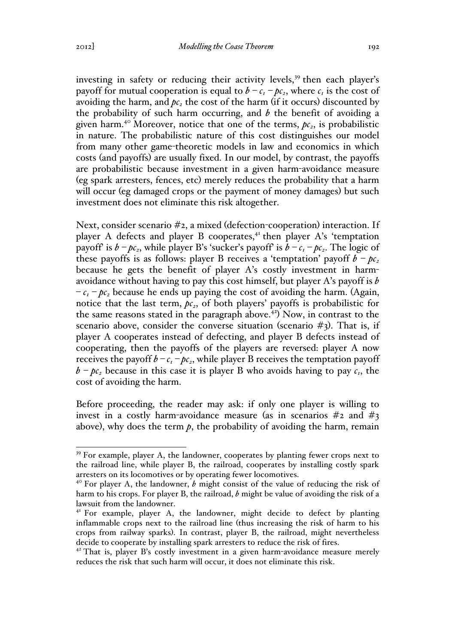investing in safety or reducing their activity levels, $39$  then each player's payoff for mutual cooperation is equal to  $b - c_1 - bc_2$ , where  $c_1$  is the cost of avoiding the harm, and  $pc<sub>2</sub>$  the cost of the harm (if it occurs) discounted by the probability of such harm occurring, and *b* the benefit of avoiding a given harm.<sup>40</sup> Moreover, notice that one of the terms,  $pc<sub>2</sub>$ , is probabilistic in nature. The probabilistic nature of this cost distinguishes our model from many other game-theoretic models in law and economics in which costs (and payoffs) are usually fixed. In our model, by contrast, the payoffs are probabilistic because investment in a given harm-avoidance measure (eg spark arresters, fences, etc) merely reduces the probability that a harm will occur (eg damaged crops or the payment of money damages) but such investment does not eliminate this risk altogether.

Next, consider scenario #2, a mixed (defection-cooperation) interaction. If player A defects and player B cooperates, $4$ <sup>t</sup> then player A's 'temptation payoff' is  $b - pc_2$ , while player B's 'sucker's payoff' is  $b - c_1 - pc_2$ . The logic of these payoffs is as follows: player B receives a 'temptation' payoff  $b - pc$ , because he gets the benefit of player A's costly investment in harmavoidance without having to pay this cost himself, but player A's payoff is *b*   $-c_1 - pc_2$  because he ends up paying the cost of avoiding the harm. (Again, notice that the last term,  $pc<sub>2</sub>$ , of both players' payoffs is probabilistic for the same reasons stated in the paragraph above.<sup>42</sup>) Now, in contrast to the scenario above, consider the converse situation (scenario  $#3$ ). That is, if player A cooperates instead of defecting, and player B defects instead of cooperating, then the payoffs of the players are reversed: player A now receives the payoff  $b - c_1 - bc_2$ , while player B receives the temptation payoff  $b - pc_2$  because in this case it is player B who avoids having to pay  $c_1$ , the cost of avoiding the harm.

Before proceeding, the reader may ask: if only one player is willing to invest in a costly harm-avoidance measure (as in scenarios  $\#$ 2 and  $\#$ 3 above), why does the term  $p$ , the probability of avoiding the harm, remain

<sup>&</sup>lt;sup>39</sup> For example, player A, the landowner, cooperates by planting fewer crops next to the railroad line, while player B, the railroad, cooperates by installing costly spark arresters on its locomotives or by operating fewer locomotives.

 $4^{\circ}$  For player A, the landowner, *b* might consist of the value of reducing the risk of harm to his crops. For player B, the railroad, *b* might be value of avoiding the risk of a lawsuit from the landowner.

<sup>&</sup>lt;sup>41</sup> For example, player A, the landowner, might decide to defect by planting inflammable crops next to the railroad line (thus increasing the risk of harm to his crops from railway sparks). In contrast, player B, the railroad, might nevertheless decide to cooperate by installing spark arresters to reduce the risk of fires.

<sup>&</sup>lt;sup>42</sup> That is, player B's costly investment in a given harm-avoidance measure merely reduces the risk that such harm will occur, it does not eliminate this risk.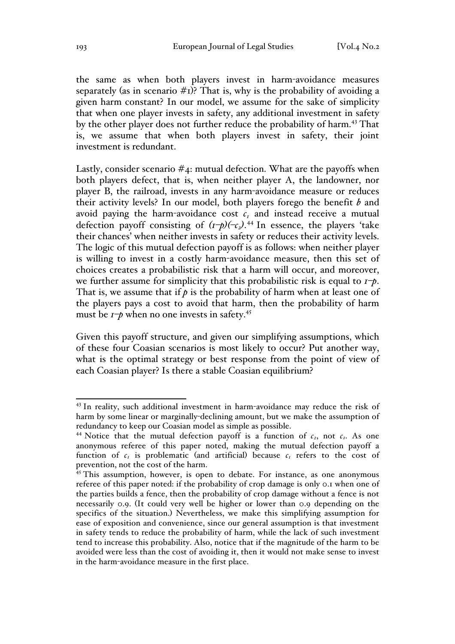the same as when both players invest in harm-avoidance measures separately (as in scenario  $\#$ I)? That is, why is the probability of avoiding a given harm constant? In our model, we assume for the sake of simplicity that when one player invests in safety, any additional investment in safety by the other player does not further reduce the probability of harm.<sup>43</sup> That is, we assume that when both players invest in safety, their joint investment is redundant.

Lastly, consider scenario  $#_4$ : mutual defection. What are the payoffs when both players defect, that is, when neither player A, the landowner, nor player B, the railroad, invests in any harm-avoidance measure or reduces their activity levels? In our model, both players forego the benefit *b* and avoid paying the harm-avoidance cost  $c<sub>1</sub>$  and instead receive a mutual defection payoff consisting of  $(\frac{1}{2})^2(-\epsilon_2)^{1/4}$  In essence, the players 'take their chances' when neither invests in safety or reduces their activity levels. The logic of this mutual defection payoff is as follows: when neither player is willing to invest in a costly harm-avoidance measure, then this set of choices creates a probabilistic risk that a harm will occur, and moreover, we further assume for simplicity that this probabilistic risk is equal to *1–p*. That is, we assume that if  $p$  is the probability of harm when at least one of the players pays a cost to avoid that harm, then the probability of harm must be  $I \rightarrow \rho$  when no one invests in safety.<sup>45</sup>

Given this payoff structure, and given our simplifying assumptions, which of these four Coasian scenarios is most likely to occur? Put another way, what is the optimal strategy or best response from the point of view of each Coasian player? Is there a stable Coasian equilibrium?

<sup>&</sup>lt;sup>43</sup> In reality, such additional investment in harm-avoidance may reduce the risk of harm by some linear or marginally-declining amount, but we make the assumption of redundancy to keep our Coasian model as simple as possible.

<sup>&</sup>lt;sup>44</sup> Notice that the mutual defection payoff is a function of  $c_2$ , not  $c_1$ . As one anonymous referee of this paper noted, making the mutual defection payoff a function of  $c_1$  is problematic (and artificial) because  $c_1$  refers to the cost of prevention, not the cost of the harm.

<sup>&</sup>lt;sup>45</sup> This assumption, however, is open to debate. For instance, as one anonymous referee of this paper noted: if the probability of crop damage is only 0.1 when one of the parties builds a fence, then the probability of crop damage without a fence is not necessarily 0.9. (It could very well be higher or lower than 0.9 depending on the specifics of the situation.) Nevertheless, we make this simplifying assumption for ease of exposition and convenience, since our general assumption is that investment in safety tends to reduce the probability of harm, while the lack of such investment tend to increase this probability. Also, notice that if the magnitude of the harm to be avoided were less than the cost of avoiding it, then it would not make sense to invest in the harm-avoidance measure in the first place.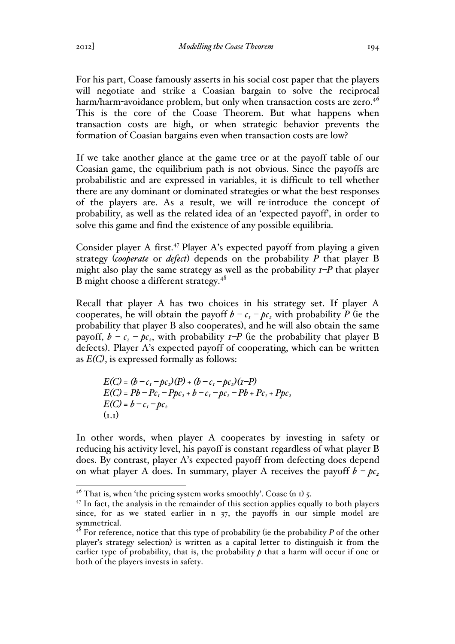For his part, Coase famously asserts in his social cost paper that the players will negotiate and strike a Coasian bargain to solve the reciprocal harm/harm-avoidance problem, but only when transaction costs are zero.<sup>46</sup> This is the core of the Coase Theorem. But what happens when transaction costs are high, or when strategic behavior prevents the formation of Coasian bargains even when transaction costs are low?

If we take another glance at the game tree or at the payoff table of our Coasian game, the equilibrium path is not obvious. Since the payoffs are probabilistic and are expressed in variables, it is difficult to tell whether there are any dominant or dominated strategies or what the best responses of the players are. As a result, we will re-introduce the concept of probability, as well as the related idea of an 'expected payoff', in order to solve this game and find the existence of any possible equilibria.

Consider player A first.<sup>47</sup> Player A's expected payoff from playing a given strategy (*cooperate* or *defect*) depends on the probability *P* that player B might also play the same strategy as well as the probability *1–P* that player B might choose a different strategy.<sup>48</sup>

Recall that player A has two choices in his strategy set. If player A cooperates, he will obtain the payoff  $b - c_1 - bc_2$  with probability *P* (ie the probability that player B also cooperates), and he will also obtain the same payoff,  $b - c_1 - bc_2$ , with probability  $I-P$  (ie the probability that player B defects). Player A's expected payoff of cooperating, which can be written as *E(C)*, is expressed formally as follows:

$$
E(C) = (b - c1 - pc2)(P) + (b - c1 - pc2)(I-P)
$$
  
\n
$$
E(C) = Pb - Pc1 - Pbc2 + b - c1 - pc2 - Pb + Pc1 + Pbc2
$$
  
\n
$$
E(C) = b - c1 - pc2
$$
  
\n
$$
(I, I)
$$

In other words, when player A cooperates by investing in safety or reducing his activity level, his payoff is constant regardless of what player B does. By contrast, player A's expected payoff from defecting does depend on what player A does. In summary, player A receives the payoff  $b - pc_2$ 

 $46$  That is, when 'the pricing system works smoothly'. Coase (n 1) 5.

 $47$  In fact, the analysis in the remainder of this section applies equally to both players since, for as we stated earlier in n 37, the payoffs in our simple model are symmetrical.

 $48$  For reference, notice that this type of probability (ie the probability *P* of the other player's strategy selection) is written as a capital letter to distinguish it from the earlier type of probability, that is, the probability  $p$  that a harm will occur if one or both of the players invests in safety.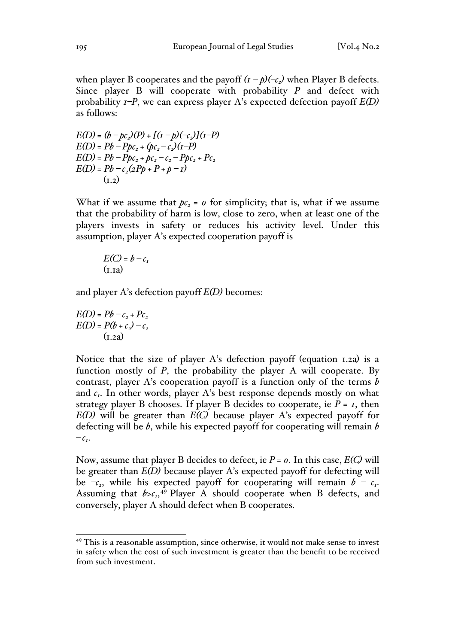when player B cooperates and the payoff  $(I - p)(-\epsilon)$  when Player B defects. Since player B will cooperate with probability *P* and defect with probability *1–P*, we can express player A's expected defection payoff *E(D)* as follows:

$$
E(D) = (b - pc_2)(P) + [(1 - p)(-c_2)](1 - P)
$$
  
\n
$$
E(D) = Pb - Ppc_2 + (pc_2 - c_2)(1 - P)
$$
  
\n
$$
E(D) = Pb - Ppc_2 + pc_2 - c_2 - Ppc_2 + Pc_2
$$
  
\n
$$
E(D) = Pb - c_2(2Pp + P + p - 1)
$$
  
\n(1.2)

What if we assume that  $pc<sub>2</sub> = 0$  for simplicity; that is, what if we assume that the probability of harm is low, close to zero, when at least one of the players invests in safety or reduces his activity level. Under this assumption, player A's expected cooperation payoff is

$$
E(C) = b - c_{I}
$$
  
(**I**.1a)

and player A's defection payoff *E(D)* becomes:

$$
E(D) = Pb - c2 + Pc2
$$
  
\n
$$
E(D) = P(b + c2) - c2
$$
  
\n(1.2a)

Notice that the size of player A's defection payoff (equation 1.2a) is a function mostly of *P*, the probability the player A will cooperate. By contrast, player A's cooperation payoff is a function only of the terms *b* and  $c_1$ . In other words, player A's best response depends mostly on what strategy player B chooses. If player B decides to cooperate, ie  $P = I$ , then *E(D)* will be greater than *E(C)* because player A's expected payoff for defecting will be *b*, while his expected payoff for cooperating will remain *b*   $-c_{I}$ .

Now, assume that player B decides to defect, ie  $P = 0$ . In this case,  $E(C)$  will be greater than *E(D)* because player A's expected payoff for defecting will be  $-\epsilon_2$ , while his expected payoff for cooperating will remain  $b - c_1$ . Assuming that  $b > c_1$ ,<sup>49</sup> Player A should cooperate when B defects, and conversely, player A should defect when B cooperates.

<sup>&</sup>lt;sup>49</sup> This is a reasonable assumption, since otherwise, it would not make sense to invest in safety when the cost of such investment is greater than the benefit to be received from such investment.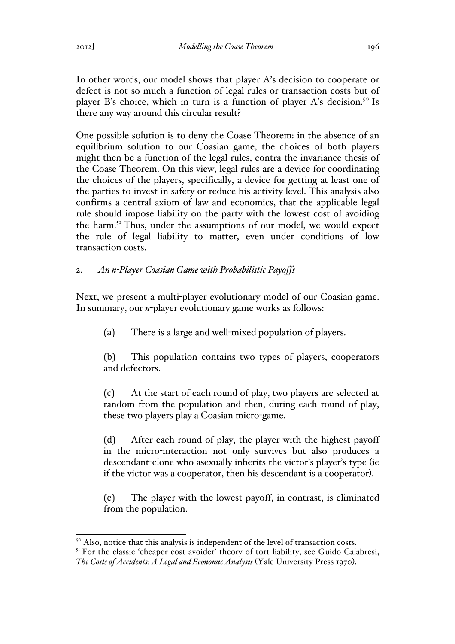In other words, our model shows that player A's decision to cooperate or defect is not so much a function of legal rules or transaction costs but of player B's choice, which in turn is a function of player A's decision.<sup>50</sup> Is there any way around this circular result?

One possible solution is to deny the Coase Theorem: in the absence of an equilibrium solution to our Coasian game, the choices of both players might then be a function of the legal rules, contra the invariance thesis of the Coase Theorem. On this view, legal rules are a device for coordinating the choices of the players, specifically, a device for getting at least one of the parties to invest in safety or reduce his activity level. This analysis also confirms a central axiom of law and economics, that the applicable legal rule should impose liability on the party with the lowest cost of avoiding the harm.<sup>51</sup> Thus, under the assumptions of our model, we would expect the rule of legal liability to matter, even under conditions of low transaction costs.

# 2. *An n-Player Coasian Game with Probabilistic Payoffs*

Next, we present a multi-player evolutionary model of our Coasian game. In summary, our *n*-player evolutionary game works as follows:

(a) There is a large and well-mixed population of players.

(b) This population contains two types of players, cooperators and defectors.

(c) At the start of each round of play, two players are selected at random from the population and then, during each round of play, these two players play a Coasian micro-game.

(d) After each round of play, the player with the highest payoff in the micro-interaction not only survives but also produces a descendant-clone who asexually inherits the victor's player's type (ie if the victor was a cooperator, then his descendant is a cooperator).

(e) The player with the lowest payoff, in contrast, is eliminated from the population.

<sup>51</sup> For the classic 'cheaper cost avoider' theory of tort liability, see Guido Calabresi, *The Costs of Accidents: A Legal and Economic Analysis* (Yale University Press 1970).

 $50$  Also, notice that this analysis is independent of the level of transaction costs.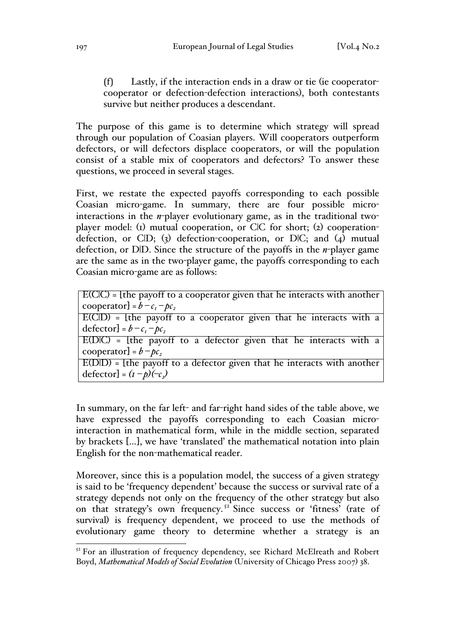(f) Lastly, if the interaction ends in a draw or tie (ie cooperatorcooperator or defection-defection interactions), both contestants survive but neither produces a descendant.

The purpose of this game is to determine which strategy will spread through our population of Coasian players. Will cooperators outperform defectors, or will defectors displace cooperators, or will the population consist of a stable mix of cooperators and defectors? To answer these questions, we proceed in several stages.

First, we restate the expected payoffs corresponding to each possible Coasian micro-game. In summary, there are four possible microinteractions in the *n*-player evolutionary game, as in the traditional twoplayer model: (1) mutual cooperation, or C|C for short; (2) cooperationdefection, or  $CID; (3)$  defection-cooperation, or  $DIC;$  and  $(4)$  mutual defection, or D|D. Since the structure of the payoffs in the *n*-player game are the same as in the two-player game, the payoffs corresponding to each Coasian micro-game are as follows:

| $E(C C)$ = {the payoff to a cooperator given that he interacts with another |  |  |  |  |
|-----------------------------------------------------------------------------|--|--|--|--|
| cooperator] = $b - c_1 - bc_2$                                              |  |  |  |  |
| _____                                                                       |  |  |  |  |

|                                    |  |  | $E(C D)$ = [the payoff to a cooperator given that he interacts with a |  |  |  |
|------------------------------------|--|--|-----------------------------------------------------------------------|--|--|--|
| $\text{defector} = b - c_1 - bc_2$ |  |  |                                                                       |  |  |  |

E(D|C) = [the payoff to a defector given that he interacts with a cooperator] =  $b - pc_2$ 

 $E(D|D) =$  [the payoff to a defector given that he interacts with another  $\text{defector} = (I - p)(-\epsilon)$ 

In summary, on the far left- and far-right hand sides of the table above, we have expressed the payoffs corresponding to each Coasian microinteraction in mathematical form, while in the middle section, separated by brackets […], we have 'translated' the mathematical notation into plain English for the non-mathematical reader.

Moreover, since this is a population model, the success of a given strategy is said to be 'frequency dependent' because the success or survival rate of a strategy depends not only on the frequency of the other strategy but also on that strategy's own frequency.<sup>52</sup> Since success or 'fitness' (rate of survival) is frequency dependent, we proceed to use the methods of evolutionary game theory to determine whether a strategy is an

<sup>&</sup>lt;sup>52</sup> For an illustration of frequency dependency, see Richard McElreath and Robert Boyd, *Mathematical Models of Social Evolution* (University of Chicago Press 2007) 38.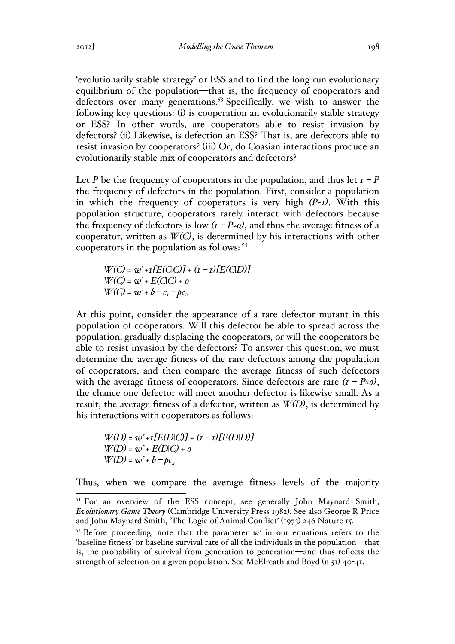'evolutionarily stable strategy' or ESS and to find the long-run evolutionary equilibrium of the population—that is, the frequency of cooperators and defectors over many generations.<sup>53</sup> Specifically, we wish to answer the following key questions: (i) is cooperation an evolutionarily stable strategy or ESS? In other words, are cooperators able to resist invasion by defectors? (ii) Likewise, is defection an ESS? That is, are defectors able to resist invasion by cooperators? (iii) Or, do Coasian interactions produce an evolutionarily stable mix of cooperators and defectors?

Let *P* be the frequency of cooperators in the population, and thus let  $I - P$ the frequency of defectors in the population. First, consider a population in which the frequency of cooperators is very high  $(P_zI)$ . With this population structure, cooperators rarely interact with defectors because the frequency of defectors is low  $(I - P \approx o)$ , and thus the average fitness of a cooperator, written as *W(C)*, is determined by his interactions with other cooperators in the population as follows: <sup>54</sup>

 $W(C) = w' + I[E(C|C)] + (I - I)[E(C|D)]$ *W(C) = w' + E(C|C) + 0*  $W(C) = w' + b - c_1 - pc_2$ 

At this point, consider the appearance of a rare defector mutant in this population of cooperators. Will this defector be able to spread across the population, gradually displacing the cooperators, or will the cooperators be able to resist invasion by the defectors? To answer this question, we must determine the average fitness of the rare defectors among the population of cooperators, and then compare the average fitness of such defectors with the average fitness of cooperators. Since defectors are rare  $(I - P \approx o)$ , the chance one defector will meet another defector is likewise small. As a result, the average fitness of a defector, written as *W(D)*, is determined by his interactions with cooperators as follows:

*W(D) = w' +1[E(D|C)] + (1 – 1)[E(D|D)] W(D) = w' + E(D|C) + 0*  $W(D) = w' + b - pc_2$ 

Thus, when we compare the average fitness levels of the majority

<sup>&</sup>lt;sup>53</sup> For an overview of the ESS concept, see generally John Maynard Smith, *Evolutionary Game Theory* (Cambridge University Press 1982). See also George R Price and John Maynard Smith, 'The Logic of Animal Conflict' (1973) 246 Nature 15.

<sup>&</sup>lt;sup>54</sup> Before proceeding, note that the parameter  $w'$  in our equations refers to the 'baseline fitness' or baseline survival rate of all the individuals in the population—that is, the probability of survival from generation to generation—and thus reflects the strength of selection on a given population. See McElreath and Boyd (n  $51$ )  $40$ - $41$ .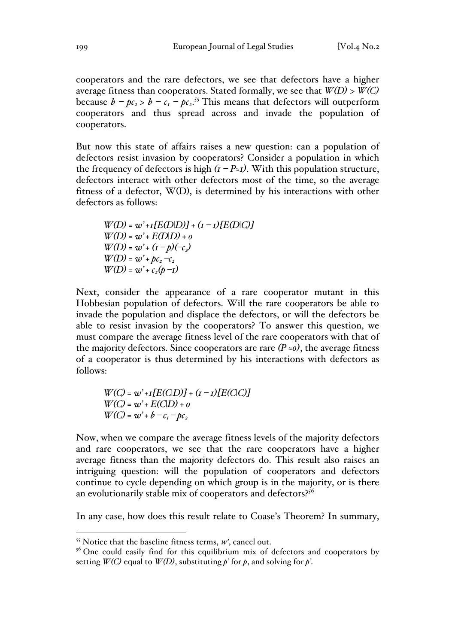cooperators and the rare defectors, we see that defectors have a higher average fitness than cooperators. Stated formally, we see that  $W(D) > W(C)$ because  $b - pc_2 > b - c_1 - pc_2$ .<sup>55</sup> This means that defectors will outperform cooperators and thus spread across and invade the population of cooperators.

But now this state of affairs raises a new question: can a population of defectors resist invasion by cooperators? Consider a population in which the frequency of defectors is high  $(I - P_zI)$ . With this population structure, defectors interact with other defectors most of the time, so the average fitness of a defector, W(D), is determined by his interactions with other defectors as follows:

*W(D) = w' +1[E(D|D)] + (1 – 1)[E(D|C)]*  $W(D) = w' + E(D|D) + o$  $W(D) = w' + (I - p)(-\epsilon_2)$  $W(D) = w' + pc_2 - c_2$  $W(D) = w' + c_2(p - 1)$ 

Next, consider the appearance of a rare cooperator mutant in this Hobbesian population of defectors. Will the rare cooperators be able to invade the population and displace the defectors, or will the defectors be able to resist invasion by the cooperators? To answer this question, we must compare the average fitness level of the rare cooperators with that of the majority defectors. Since cooperators are rare  $(P \approx o)$ , the average fitness of a cooperator is thus determined by his interactions with defectors as follows:

*W(C) = w' +1[E(C|D)] + (1 – 1)[E(C|C)] W(C) = w' + E(C|D) + 0*  $W(C) = w' + b - c_1 - bc_2$ 

Now, when we compare the average fitness levels of the majority defectors and rare cooperators, we see that the rare cooperators have a higher average fitness than the majority defectors do. This result also raises an intriguing question: will the population of cooperators and defectors continue to cycle depending on which group is in the majority, or is there an evolutionarily stable mix of cooperators and defectors?<sup>56</sup>

In any case, how does this result relate to Coase's Theorem? In summary,

 $<sup>55</sup>$  Notice that the baseline fitness terms,  $w'$ , cancel out.</sup>

 $56$  One could easily find for this equilibrium mix of defectors and cooperators by setting  $W(C)$  equal to  $W(D)$ , substituting  $p'$  for  $p$ , and solving for  $p'$ .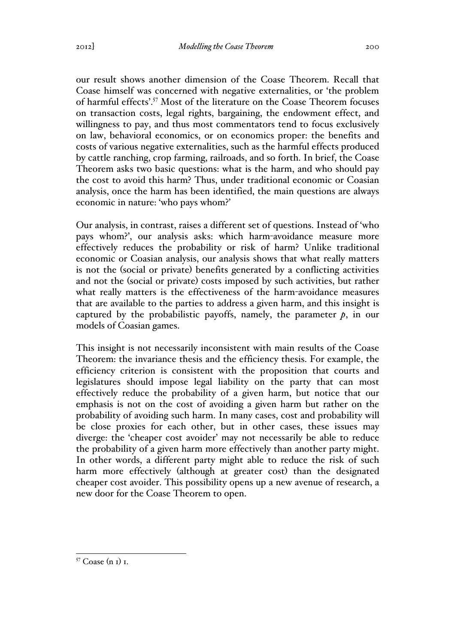our result shows another dimension of the Coase Theorem. Recall that Coase himself was concerned with negative externalities, or 'the problem of harmful effects'.57 Most of the literature on the Coase Theorem focuses on transaction costs, legal rights, bargaining, the endowment effect, and willingness to pay, and thus most commentators tend to focus exclusively on law, behavioral economics, or on economics proper: the benefits and costs of various negative externalities, such as the harmful effects produced by cattle ranching, crop farming, railroads, and so forth. In brief, the Coase Theorem asks two basic questions: what is the harm, and who should pay the cost to avoid this harm? Thus, under traditional economic or Coasian analysis, once the harm has been identified, the main questions are always economic in nature: 'who pays whom?'

Our analysis, in contrast, raises a different set of questions. Instead of 'who pays whom?', our analysis asks: which harm-avoidance measure more effectively reduces the probability or risk of harm? Unlike traditional economic or Coasian analysis, our analysis shows that what really matters is not the (social or private) benefits generated by a conflicting activities and not the (social or private) costs imposed by such activities, but rather what really matters is the effectiveness of the harm-avoidance measures that are available to the parties to address a given harm, and this insight is captured by the probabilistic payoffs, namely, the parameter  $p$ , in our models of Coasian games.

This insight is not necessarily inconsistent with main results of the Coase Theorem: the invariance thesis and the efficiency thesis. For example, the efficiency criterion is consistent with the proposition that courts and legislatures should impose legal liability on the party that can most effectively reduce the probability of a given harm, but notice that our emphasis is not on the cost of avoiding a given harm but rather on the probability of avoiding such harm. In many cases, cost and probability will be close proxies for each other, but in other cases, these issues may diverge: the 'cheaper cost avoider' may not necessarily be able to reduce the probability of a given harm more effectively than another party might. In other words, a different party might able to reduce the risk of such harm more effectively (although at greater cost) than the designated cheaper cost avoider. This possibility opens up a new avenue of research, a new door for the Coase Theorem to open.

 <sup>57</sup> Coase (n 1) 1.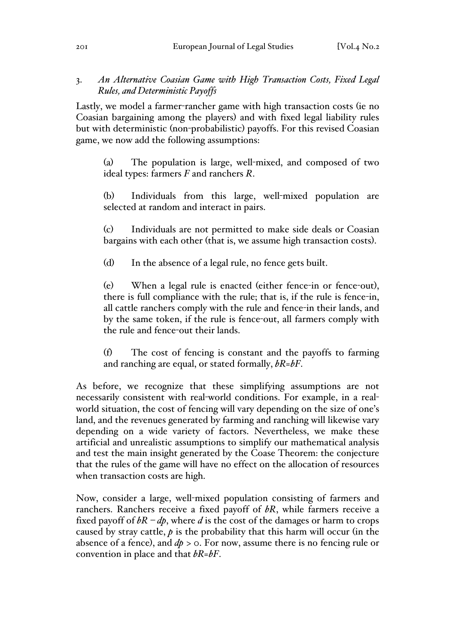## 3. *An Alternative Coasian Game with High Transaction Costs, Fixed Legal Rules, and Deterministic Payoffs*

Lastly, we model a farmer-rancher game with high transaction costs (ie no Coasian bargaining among the players) and with fixed legal liability rules but with deterministic (non-probabilistic) payoffs. For this revised Coasian game, we now add the following assumptions:

(a) The population is large, well-mixed, and composed of two ideal types: farmers *F* and ranchers *R*.

(b) Individuals from this large, well-mixed population are selected at random and interact in pairs.

(c) Individuals are not permitted to make side deals or Coasian bargains with each other (that is, we assume high transaction costs).

(d) In the absence of a legal rule, no fence gets built.

(e) When a legal rule is enacted (either fence-in or fence-out), there is full compliance with the rule; that is, if the rule is fence-in, all cattle ranchers comply with the rule and fence-in their lands, and by the same token, if the rule is fence-out, all farmers comply with the rule and fence-out their lands.

(f) The cost of fencing is constant and the payoffs to farming and ranching are equal, or stated formally, *bR=bF*.

As before, we recognize that these simplifying assumptions are not necessarily consistent with real-world conditions. For example, in a realworld situation, the cost of fencing will vary depending on the size of one's land, and the revenues generated by farming and ranching will likewise vary depending on a wide variety of factors. Nevertheless, we make these artificial and unrealistic assumptions to simplify our mathematical analysis and test the main insight generated by the Coase Theorem: the conjecture that the rules of the game will have no effect on the allocation of resources when transaction costs are high.

Now, consider a large, well-mixed population consisting of farmers and ranchers. Ranchers receive a fixed payoff of *bR*, while farmers receive a fixed payoff of  $bR - dp$ , where *d* is the cost of the damages or harm to crops caused by stray cattle, *p* is the probability that this harm will occur (in the absence of a fence), and *dp* > 0. For now, assume there is no fencing rule or convention in place and that *bR=bF*.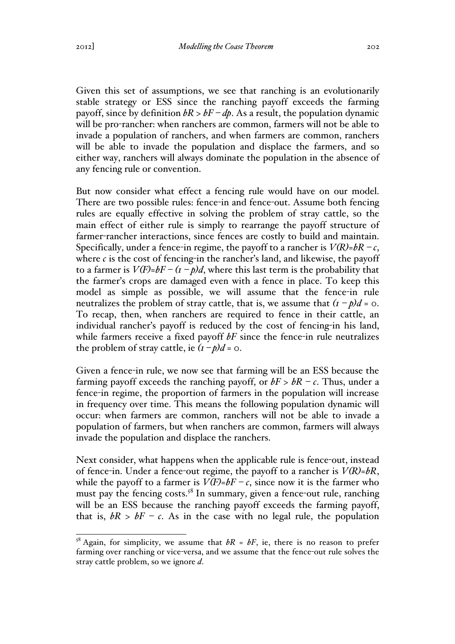Given this set of assumptions, we see that ranching is an evolutionarily stable strategy or ESS since the ranching payoff exceeds the farming payoff, since by definition  $bR > bF - dp$ . As a result, the population dynamic will be pro-rancher: when ranchers are common, farmers will not be able to invade a population of ranchers, and when farmers are common, ranchers will be able to invade the population and displace the farmers, and so either way, ranchers will always dominate the population in the absence of any fencing rule or convention.

But now consider what effect a fencing rule would have on our model. There are two possible rules: fence-in and fence-out. Assume both fencing rules are equally effective in solving the problem of stray cattle, so the main effect of either rule is simply to rearrange the payoff structure of farmer-rancher interactions, since fences are costly to build and maintain. Specifically, under a fence-in regime, the payoff to a rancher is  $V(R)=bR-c$ , where  $c$  is the cost of fencing-in the rancher's land, and likewise, the payoff to a farmer is  $V(F)=bF-(t-p)d$ , where this last term is the probability that the farmer's crops are damaged even with a fence in place. To keep this model as simple as possible, we will assume that the fence-in rule neutralizes the problem of stray cattle, that is, we assume that  $(i - p)d = 0$ . To recap, then, when ranchers are required to fence in their cattle, an individual rancher's payoff is reduced by the cost of fencing-in his land, while farmers receive a fixed payoff *bF* since the fence-in rule neutralizes the problem of stray cattle, ie  $(i - p)d = 0$ .

Given a fence-in rule, we now see that farming will be an ESS because the farming payoff exceeds the ranching payoff, or  $bF > bR - c$ . Thus, under a fence-in regime, the proportion of farmers in the population will increase in frequency over time. This means the following population dynamic will occur: when farmers are common, ranchers will not be able to invade a population of farmers, but when ranchers are common, farmers will always invade the population and displace the ranchers.

Next consider, what happens when the applicable rule is fence-out, instead of fence-in. Under a fence-out regime, the payoff to a rancher is *V(R)=bR*, while the payoff to a farmer is  $V(F)=bF-c$ , since now it is the farmer who must pay the fencing costs.<sup>58</sup> In summary, given a fence-out rule, ranching will be an ESS because the ranching payoff exceeds the farming payoff, that is,  $bR > bF - c$ . As in the case with no legal rule, the population

<sup>&</sup>lt;sup>58</sup> Again, for simplicity, we assume that  $bR = bF$ , ie, there is no reason to prefer farming over ranching or vice-versa, and we assume that the fence-out rule solves the stray cattle problem, so we ignore *d*.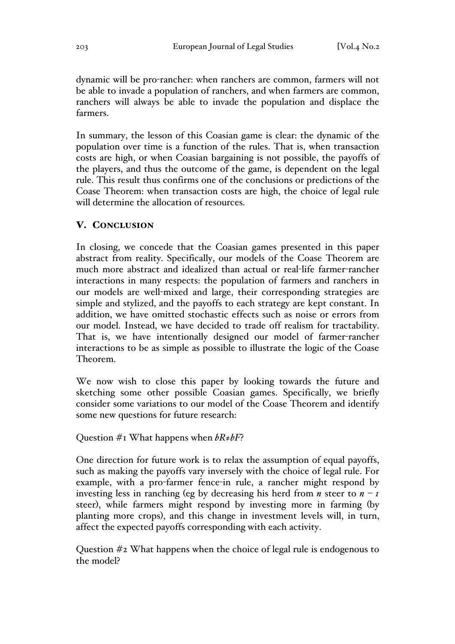dynamic will be pro-rancher: when ranchers are common, farmers will not be able to invade a population of ranchers, and when farmers are common, ranchers will always be able to invade the population and displace the farmers.

In summary, the lesson of this Coasian game is clear: the dynamic of the population over time is a function of the rules. That is, when transaction costs are high, or when Coasian bargaining is not possible, the payoffs of the players, and thus the outcome of the game, is dependent on the legal rule. This result thus confirms one of the conclusions or predictions of the Coase Theorem: when transaction costs are high, the choice of legal rule will determine the allocation of resources.

#### V. CONCLUSION

In closing, we concede that the Coasian games presented in this paper abstract from reality. Specifically, our models of the Coase Theorem are much more abstract and idealized than actual or real-life farmer-rancher interactions in many respects: the population of farmers and ranchers in our models are well-mixed and large, their corresponding strategies are simple and stylized, and the payoffs to each strategy are kept constant. In addition, we have omitted stochastic effects such as noise or errors from our model. Instead, we have decided to trade off realism for tractability. That is, we have intentionally designed our model of farmer-rancher interactions to be as simple as possible to illustrate the logic of the Coase Theorem.

We now wish to close this paper by looking towards the future and sketching some other possible Coasian games. Specifically, we briefly consider some variations to our model of the Coase Theorem and identify some new questions for future research:

Question #1 What happens when *bR≠bF*?

One direction for future work is to relax the assumption of equal payoffs, such as making the payoffs vary inversely with the choice of legal rule. For example, with a pro-farmer fence-in rule, a rancher might respond by investing less in ranching (eg by decreasing his herd from *n* steer to  $n - I$ steer), while farmers might respond by investing more in farming (by planting more crops), and this change in investment levels will, in turn, affect the expected payoffs corresponding with each activity.

Question #2 What happens when the choice of legal rule is endogenous to the model?